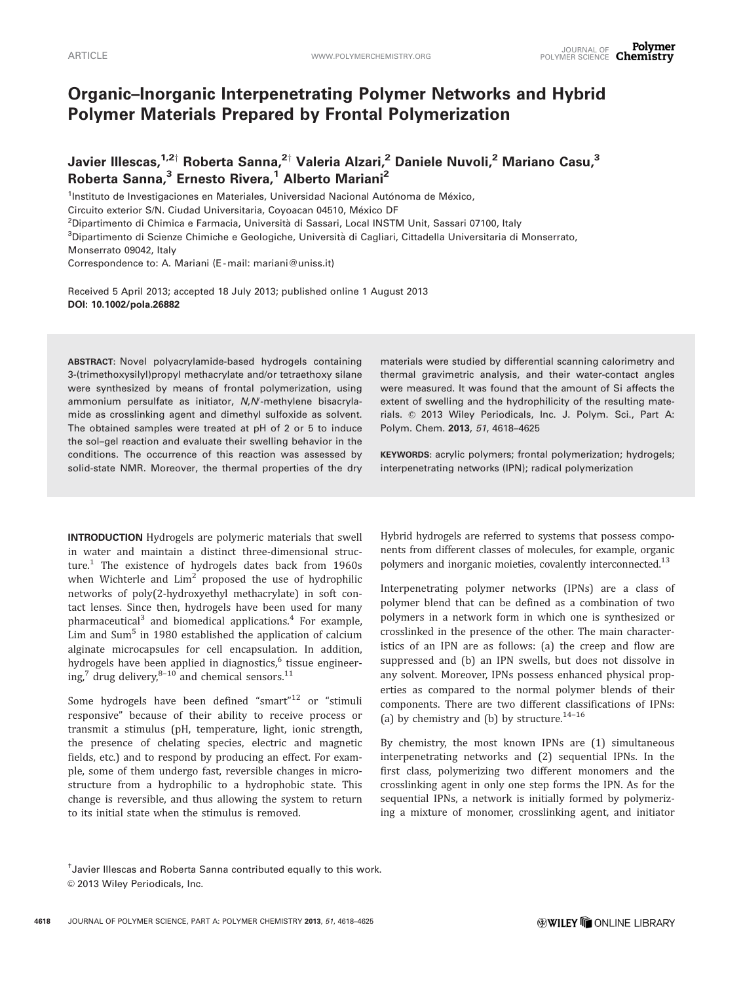# Organic–Inorganic Interpenetrating Polymer Networks and Hybrid Polymer Materials Prepared by Frontal Polymerization

Javier Illescas,<sup>1,2†</sup> Roberta Sanna,<sup>2†</sup> Valeria Alzari,<sup>2</sup> Daniele Nuvoli,<sup>2</sup> Mariano Casu,<sup>3</sup> Roberta Sanna,<sup>3</sup> Ernesto Rivera,<sup>1</sup> Alberto Mariani<sup>2</sup>

<sup>1</sup>Instituto de Investigaciones en Materiales, Universidad Nacional Autónoma de México, Circuito exterior S/N. Ciudad Universitaria, Coyoacan 04510, México DF

<sup>2</sup>Dipartimento di Chimica e Farmacia, Università di Sassari, Local INSTM Unit, Sassari 07100, Italy

<sup>3</sup>Dipartimento di Scienze Chimiche e Geologiche, Università di Cagliari, Cittadella Universitaria di Monserrato,

Monserrato 09042, Italy

Correspondence to: A. Mariani (E-mail: mariani@uniss.it)

Received 5 April 2013; accepted 18 July 2013; published online 1 August 2013 DOI: 10.1002/pola.26882

ABSTRACT: Novel polyacrylamide-based hydrogels containing 3-(trimethoxysilyl)propyl methacrylate and/or tetraethoxy silane were synthesized by means of frontal polymerization, using ammonium persulfate as initiator, N,N'-methylene bisacrylamide as crosslinking agent and dimethyl sulfoxide as solvent. The obtained samples were treated at pH of 2 or 5 to induce the sol–gel reaction and evaluate their swelling behavior in the conditions. The occurrence of this reaction was assessed by solid-state NMR. Moreover, the thermal properties of the dry

INTRODUCTION Hydrogels are polymeric materials that swell in water and maintain a distinct three-dimensional structure.<sup>1</sup> The existence of hydrogels dates back from  $1960s$ when Wichterle and  $Lim^2$  proposed the use of hydrophilic networks of poly(2-hydroxyethyl methacrylate) in soft contact lenses. Since then, hydrogels have been used for many pharmaceutical<sup>3</sup> and biomedical applications.<sup>4</sup> For example, Lim and Sum<sup>5</sup> in 1980 established the application of calcium alginate microcapsules for cell encapsulation. In addition, hydrogels have been applied in diagnostics,<sup>6</sup> tissue engineering,<sup>7</sup> drug delivery, $8-10$  and chemical sensors.<sup>11</sup>

Some hydrogels have been defined "smart" $12$  or "stimuli responsive" because of their ability to receive process or transmit a stimulus (pH, temperature, light, ionic strength, the presence of chelating species, electric and magnetic fields, etc.) and to respond by producing an effect. For example, some of them undergo fast, reversible changes in microstructure from a hydrophilic to a hydrophobic state. This change is reversible, and thus allowing the system to return to its initial state when the stimulus is removed.

materials were studied by differential scanning calorimetry and thermal gravimetric analysis, and their water-contact angles were measured. It was found that the amount of Si affects the extent of swelling and the hydrophilicity of the resulting materials. © 2013 Wiley Periodicals, Inc. J. Polym. Sci., Part A: Polym. Chem. 2013, 51, 4618-4625

KEYWORDS: acrylic polymers; frontal polymerization; hydrogels; interpenetrating networks (IPN); radical polymerization

Hybrid hydrogels are referred to systems that possess components from different classes of molecules, for example, organic polymers and inorganic moieties, covalently interconnected.<sup>13</sup>

Interpenetrating polymer networks (IPNs) are a class of polymer blend that can be defined as a combination of two polymers in a network form in which one is synthesized or crosslinked in the presence of the other. The main characteristics of an IPN are as follows: (a) the creep and flow are suppressed and (b) an IPN swells, but does not dissolve in any solvent. Moreover, IPNs possess enhanced physical properties as compared to the normal polymer blends of their components. There are two different classifications of IPNs: (a) by chemistry and (b) by structure.<sup>14-16</sup>

By chemistry, the most known IPNs are (1) simultaneous interpenetrating networks and (2) sequential IPNs. In the first class, polymerizing two different monomers and the crosslinking agent in only one step forms the IPN. As for the sequential IPNs, a network is initially formed by polymerizing a mixture of monomer, crosslinking agent, and initiator

<sup>†</sup> Javier Illescas and Roberta Sanna contributed equally to this work. © 2013 Wiley Periodicals, Inc.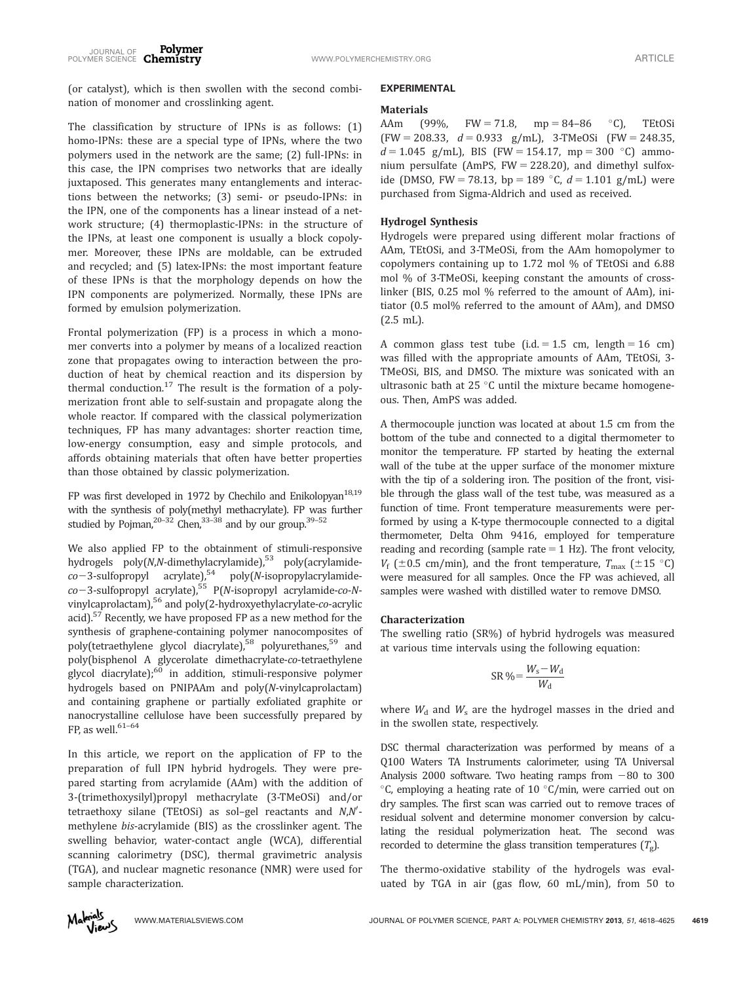(or catalyst), which is then swollen with the second combination of monomer and crosslinking agent.

The classification by structure of IPNs is as follows: (1) homo-IPNs: these are a special type of IPNs, where the two polymers used in the network are the same; (2) full-IPNs: in this case, the IPN comprises two networks that are ideally juxtaposed. This generates many entanglements and interactions between the networks; (3) semi- or pseudo-IPNs: in the IPN, one of the components has a linear instead of a network structure; (4) thermoplastic-IPNs: in the structure of the IPNs, at least one component is usually a block copolymer. Moreover, these IPNs are moldable, can be extruded and recycled; and (5) latex-IPNs: the most important feature of these IPNs is that the morphology depends on how the IPN components are polymerized. Normally, these IPNs are formed by emulsion polymerization.

Frontal polymerization (FP) is a process in which a monomer converts into a polymer by means of a localized reaction zone that propagates owing to interaction between the production of heat by chemical reaction and its dispersion by thermal conduction.<sup>17</sup> The result is the formation of a polymerization front able to self-sustain and propagate along the whole reactor. If compared with the classical polymerization techniques, FP has many advantages: shorter reaction time, low-energy consumption, easy and simple protocols, and affords obtaining materials that often have better properties than those obtained by classic polymerization.

FP was first developed in 1972 by Chechilo and Enikolopyan<sup>18,19</sup> with the synthesis of poly(methyl methacrylate). FP was further studied by Pojman,<sup>20–32</sup> Chen,<sup>33–38</sup> and by our group.<sup>39–52</sup>

We also applied FP to the obtainment of stimuli-responsive hydrogels  $poly(N,N$ -dimethylacrylamide),<sup>53</sup> poly(acrylamide $co-3$ -sulfopropyl acrylate),<sup>54</sup> poly(N-isopropylacrylamideco-3-sulfopropyl acrylate),<sup>55</sup> P(N-isopropyl acrylamide-co-Nvinylcaprolactam),<sup>56</sup> and poly(2-hydroxyethylacrylate-co-acrylic acid).<sup>57</sup> Recently, we have proposed FP as a new method for the synthesis of graphene-containing polymer nanocomposites of poly(tetraethylene glycol diacrylate),<sup>58</sup> polyurethanes,<sup>59</sup> and poly(bisphenol A glycerolate dimethacrylate-co-tetraethylene  $glycol$  diacrylate); $60$  in addition, stimuli-responsive polymer hydrogels based on PNIPAAm and poly(N-vinylcaprolactam) and containing graphene or partially exfoliated graphite or nanocrystalline cellulose have been successfully prepared by FP, as well. $61-64$ 

In this article, we report on the application of FP to the preparation of full IPN hybrid hydrogels. They were prepared starting from acrylamide (AAm) with the addition of 3-(trimethoxysilyl)propyl methacrylate (3-TMeOSi) and/or  $tetraethoxy$  silane (TEtOSi) as sol-gel reactants and  $N, N'$ methylene bis-acrylamide (BIS) as the crosslinker agent. The swelling behavior, water-contact angle (WCA), differential scanning calorimetry (DSC), thermal gravimetric analysis (TGA), and nuclear magnetic resonance (NMR) were used for sample characterization.

# EXPERIMENTAL

### Materials

AAm (99%, FW = 71.8, mp = 84–86  $\degree$ C), **TEtOSi**  $(FW = 208.33, d = 0.933 g/mL)$ , 3-TMeOSi  $(FW = 248.35,$  $d = 1.045$  g/mL), BIS (FW = 154.17, mp = 300 °C) ammonium persulfate (AmPS,  $FW = 228.20$ ), and dimethyl sulfoxide (DMSO, FW = 78.13, bp = 189 °C,  $d = 1.101$  g/mL) were purchased from Sigma-Aldrich and used as received.

# Hydrogel Synthesis

Hydrogels were prepared using different molar fractions of AAm, TEtOSi, and 3-TMeOSi, from the AAm homopolymer to copolymers containing up to 1.72 mol % of TEtOSi and 6.88 mol % of 3-TMeOSi, keeping constant the amounts of crosslinker (BIS, 0.25 mol % referred to the amount of AAm), initiator (0.5 mol% referred to the amount of AAm), and DMSO (2.5 mL).

A common glass test tube (i.d. = 1.5 cm, length = 16 cm) was filled with the appropriate amounts of AAm, TEtOSi, 3- TMeOSi, BIS, and DMSO. The mixture was sonicated with an ultrasonic bath at  $25^{\circ}$ C until the mixture became homogeneous. Then, AmPS was added.

A thermocouple junction was located at about 1.5 cm from the bottom of the tube and connected to a digital thermometer to monitor the temperature. FP started by heating the external wall of the tube at the upper surface of the monomer mixture with the tip of a soldering iron. The position of the front, visible through the glass wall of the test tube, was measured as a function of time. Front temperature measurements were performed by using a K-type thermocouple connected to a digital thermometer, Delta Ohm 9416, employed for temperature reading and recording (sample rate  $= 1$  Hz). The front velocity,  $V_f$  ( $\pm$  0.5 cm/min), and the front temperature,  $T_{\text{max}}$  ( $\pm$  15 °C) were measured for all samples. Once the FP was achieved, all samples were washed with distilled water to remove DMSO.

#### Characterization

The swelling ratio (SR%) of hybrid hydrogels was measured at various time intervals using the following equation:

$$
SR\,\% = \frac{W_s - W_d}{W_d}
$$

where  $W_d$  and  $W_s$  are the hydrogel masses in the dried and in the swollen state, respectively.

DSC thermal characterization was performed by means of a Q100 Waters TA Instruments calorimeter, using TA Universal Analysis 2000 software. Two heating ramps from  $-80$  to 300  $\rm ^{\circ}$ C, employing a heating rate of 10  $\rm ^{\circ}$ C/min, were carried out on dry samples. The first scan was carried out to remove traces of residual solvent and determine monomer conversion by calculating the residual polymerization heat. The second was recorded to determine the glass transition temperatures  $(T_g)$ .

The thermo-oxidative stability of the hydrogels was evaluated by TGA in air (gas flow, 60 mL/min), from 50 to

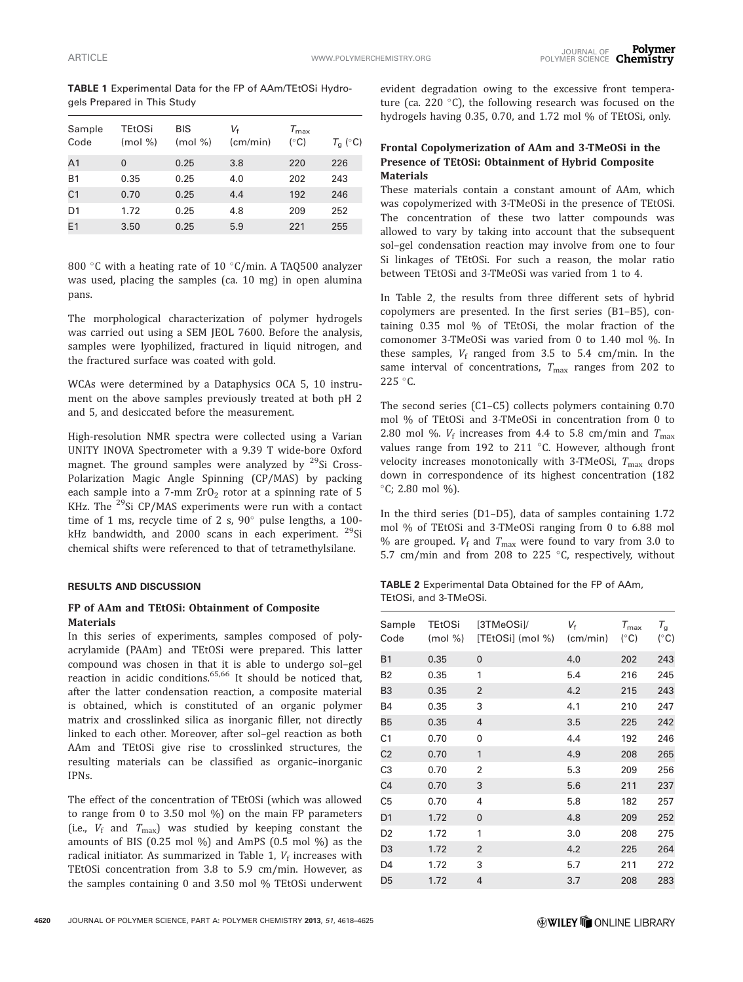TABLE 1 Experimental Data for the FP of AAm/TEtOSi Hydrogels Prepared in This Study

| Sample<br>Code | <b>TEtOSi</b><br>$(mod \% )$ | BIS<br>$(mod \% )$ | Vŧ<br>(cm/min) | $T_{\rm max}$<br>$(^\circ C)$ | $T_{\rm g}$ (°C) |
|----------------|------------------------------|--------------------|----------------|-------------------------------|------------------|
| A1             | $\mathbf{0}$                 | 0.25               | 3.8            | 220                           | 226              |
| <b>B1</b>      | 0.35                         | 0.25               | 4.0            | 202                           | 243              |
| C <sub>1</sub> | 0.70                         | 0.25               | 4.4            | 192                           | 246              |
| D <sub>1</sub> | 1.72                         | 0.25               | 4.8            | 209                           | 252              |
| E1             | 3.50                         | 0.25               | 5.9            | 221                           | 255              |
|                |                              |                    |                |                               |                  |

800 °C with a heating rate of 10 °C/min. A TAQ500 analyzer was used, placing the samples (ca. 10 mg) in open alumina pans.

The morphological characterization of polymer hydrogels was carried out using a SEM JEOL 7600. Before the analysis, samples were lyophilized, fractured in liquid nitrogen, and the fractured surface was coated with gold.

WCAs were determined by a Dataphysics OCA 5, 10 instrument on the above samples previously treated at both pH 2 and 5, and desiccated before the measurement.

High-resolution NMR spectra were collected using a Varian UNITY INOVA Spectrometer with a 9.39 T wide-bore Oxford magnet. The ground samples were analyzed by  $29$ Si Cross-Polarization Magic Angle Spinning (CP/MAS) by packing each sample into a 7-mm  $ZrO<sub>2</sub>$  rotor at a spinning rate of 5 KHz. The  $^{29}$ Si CP/MAS experiments were run with a contact time of 1 ms, recycle time of 2 s,  $90^\circ$  pulse lengths, a 100kHz bandwidth, and 2000 scans in each experiment.  $29$ Si chemical shifts were referenced to that of tetramethylsilane.

# RESULTS AND DISCUSSION

## FP of AAm and TEtOSi: Obtainment of Composite **Materials**

In this series of experiments, samples composed of polyacrylamide (PAAm) and TEtOSi were prepared. This latter compound was chosen in that it is able to undergo sol–gel reaction in acidic conditions. $65,66$  It should be noticed that, after the latter condensation reaction, a composite material is obtained, which is constituted of an organic polymer matrix and crosslinked silica as inorganic filler, not directly linked to each other. Moreover, after sol–gel reaction as both AAm and TEtOSi give rise to crosslinked structures, the resulting materials can be classified as organic–inorganic IPNs.

The effect of the concentration of TEtOSi (which was allowed to range from 0 to 3.50 mol %) on the main FP parameters (i.e.,  $V_f$  and  $T_{\text{max}}$ ) was studied by keeping constant the amounts of BIS (0.25 mol %) and AmPS (0.5 mol %) as the radical initiator. As summarized in Table 1,  $V_f$  increases with TEtOSi concentration from 3.8 to 5.9 cm/min. However, as the samples containing 0 and 3.50 mol % TEtOSi underwent evident degradation owing to the excessive front temperature (ca. 220 $\degree$ C), the following research was focused on the hydrogels having 0.35, 0.70, and 1.72 mol % of TEtOSi, only.

# Frontal Copolymerization of AAm and 3-TMeOSi in the Presence of TEtOSi: Obtainment of Hybrid Composite Materials

These materials contain a constant amount of AAm, which was copolymerized with 3-TMeOSi in the presence of TEtOSi. The concentration of these two latter compounds was allowed to vary by taking into account that the subsequent sol–gel condensation reaction may involve from one to four Si linkages of TEtOSi. For such a reason, the molar ratio between TEtOSi and 3-TMeOSi was varied from 1 to 4.

In Table 2, the results from three different sets of hybrid copolymers are presented. In the first series (B1–B5), containing 0.35 mol % of TEtOSi, the molar fraction of the comonomer 3-TMeOSi was varied from 0 to 1.40 mol %. In these samples,  $V_f$  ranged from 3.5 to 5.4 cm/min. In the same interval of concentrations,  $T_{\text{max}}$  ranges from 202 to  $225 °C$ .

The second series (C1–C5) collects polymers containing 0.70 mol % of TEtOSi and 3-TMeOSi in concentration from 0 to 2.80 mol %.  $V_f$  increases from 4.4 to 5.8 cm/min and  $T_{\text{max}}$ values range from 192 to 211  $^{\circ}$ C. However, although front velocity increases monotonically with 3-TMeOSi,  $T_{\text{max}}$  drops down in correspondence of its highest concentration (182  $°C$ ; 2.80 mol %).

In the third series (D1–D5), data of samples containing 1.72 mol % of TEtOSi and 3-TMeOSi ranging from 0 to 6.88 mol % are grouped.  $V_f$  and  $T_{\text{max}}$  were found to vary from 3.0 to 5.7 cm/min and from 208 to 225  $\degree$ C, respectively, without

TABLE 2 Experimental Data Obtained for the FP of AAm, TEtOSi, and 3-TMeOSi.

| Sample<br>Code | <b>TEtOSi</b><br>$(mod \% )$ | [3TMeOSi]/<br>[TEtOSi] (mol %) | $V_{\rm f}$<br>(cm/min) | $T_{\rm max}$<br>$(^{\circ}C)$ | $T_g$<br>$(^\circ C)$ |
|----------------|------------------------------|--------------------------------|-------------------------|--------------------------------|-----------------------|
| <b>B1</b>      | 0.35                         | $\overline{0}$                 | 4.0                     | 202                            | 243                   |
| <b>B2</b>      | 0.35                         | 1                              | 5.4                     | 216                            | 245                   |
| B <sub>3</sub> | 0.35                         | $\overline{2}$                 | 4.2                     | 215                            | 243                   |
| <b>B4</b>      | 0.35                         | 3                              | 4.1                     | 210                            | 247                   |
| <b>B5</b>      | 0.35                         | 4                              | 3.5                     | 225                            | 242                   |
| C <sub>1</sub> | 0.70                         | 0                              | 4.4                     | 192                            | 246                   |
| C <sub>2</sub> | 0.70                         | 1                              | 4.9                     | 208                            | 265                   |
| C <sub>3</sub> | 0.70                         | 2                              | 5.3                     | 209                            | 256                   |
| C <sub>4</sub> | 0.70                         | 3                              | 5.6                     | 211                            | 237                   |
| C <sub>5</sub> | 0.70                         | 4                              | 5.8                     | 182                            | 257                   |
| D <sub>1</sub> | 1.72                         | 0                              | 4.8                     | 209                            | 252                   |
| D <sub>2</sub> | 1.72                         | 1                              | 3.0                     | 208                            | 275                   |
| D <sub>3</sub> | 1.72                         | $\overline{2}$                 | 4.2                     | 225                            | 264                   |
| D4             | 1.72                         | 3                              | 5.7                     | 211                            | 272                   |
| D <sub>5</sub> | 1.72                         | 4                              | 3.7                     | 208                            | 283                   |
|                |                              |                                |                         |                                |                       |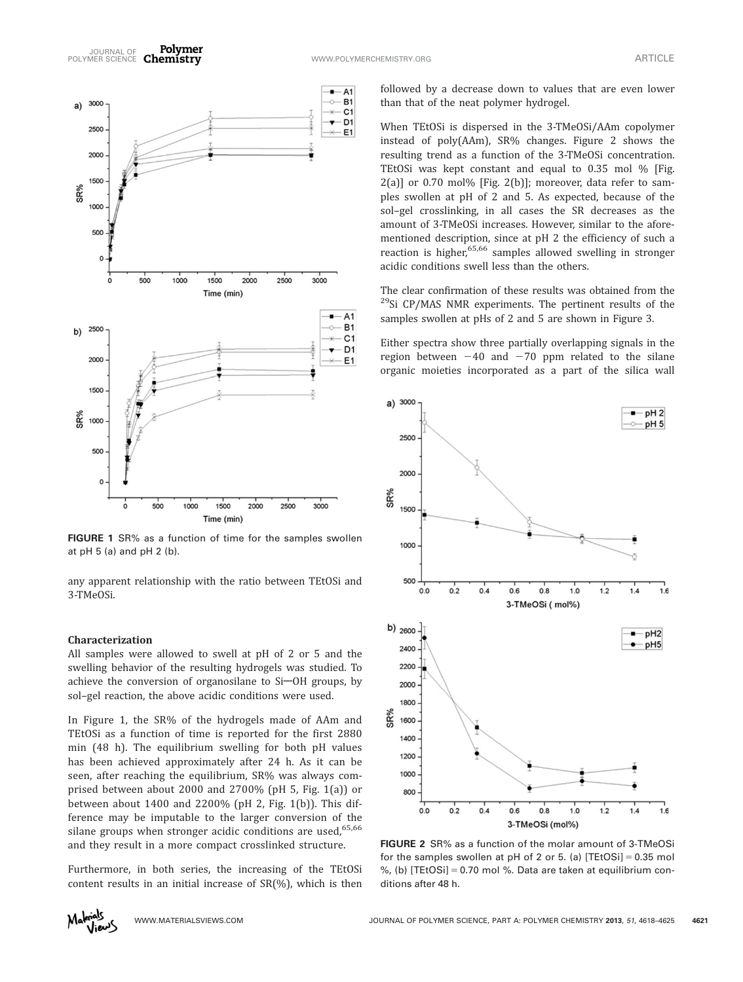

FIGURE 1 SR% as a function of time for the samples swollen at pH 5 (a) and pH 2 (b).

any apparent relationship with the ratio between TEtOSi and 3-TMeOSi.

### Characterization

All samples were allowed to swell at pH of 2 or 5 and the swelling behavior of the resulting hydrogels was studied. To achieve the conversion of organosilane to Si-OH groups, by sol–gel reaction, the above acidic conditions were used.

In Figure 1, the SR% of the hydrogels made of AAm and TEtOSi as a function of time is reported for the first 2880 min (48 h). The equilibrium swelling for both pH values has been achieved approximately after 24 h. As it can be seen, after reaching the equilibrium, SR% was always comprised between about 2000 and 2700% (pH 5, Fig. 1(a)) or between about 1400 and 2200% (pH 2, Fig. 1(b)). This difference may be imputable to the larger conversion of the silane groups when stronger acidic conditions are used,  $65,66$ and they result in a more compact crosslinked structure.

Furthermore, in both series, the increasing of the TEtOSi content results in an initial increase of SR(%), which is then

followed by a decrease down to values that are even lower than that of the neat polymer hydrogel.

When TEtOSi is dispersed in the 3-TMeOSi/AAm copolymer instead of poly(AAm), SR% changes. Figure 2 shows the resulting trend as a function of the 3-TMeOSi concentration. TEtOSi was kept constant and equal to 0.35 mol % [Fig.  $2(a)$ ] or 0.70 mol% [Fig. 2(b)]; moreover, data refer to samples swollen at pH of 2 and 5. As expected, because of the sol–gel crosslinking, in all cases the SR decreases as the amount of 3-TMeOSi increases. However, similar to the aforementioned description, since at pH 2 the efficiency of such a reaction is higher,<sup>65,66</sup> samples allowed swelling in stronger acidic conditions swell less than the others.

The clear confirmation of these results was obtained from the  $^{29}$ Si CP/MAS NMR experiments. The pertinent results of the samples swollen at pHs of 2 and 5 are shown in Figure 3.

Either spectra show three partially overlapping signals in the region between  $-40$  and  $-70$  ppm related to the silane organic moieties incorporated as a part of the silica wall



FIGURE 2 SR% as a function of the molar amount of 3-TMeOSi for the samples swollen at pH of 2 or 5. (a)  $[TEtOSi] = 0.35$  mol %, (b) [TEtOSi] = 0.70 mol %. Data are taken at equilibrium conditions after 48 h.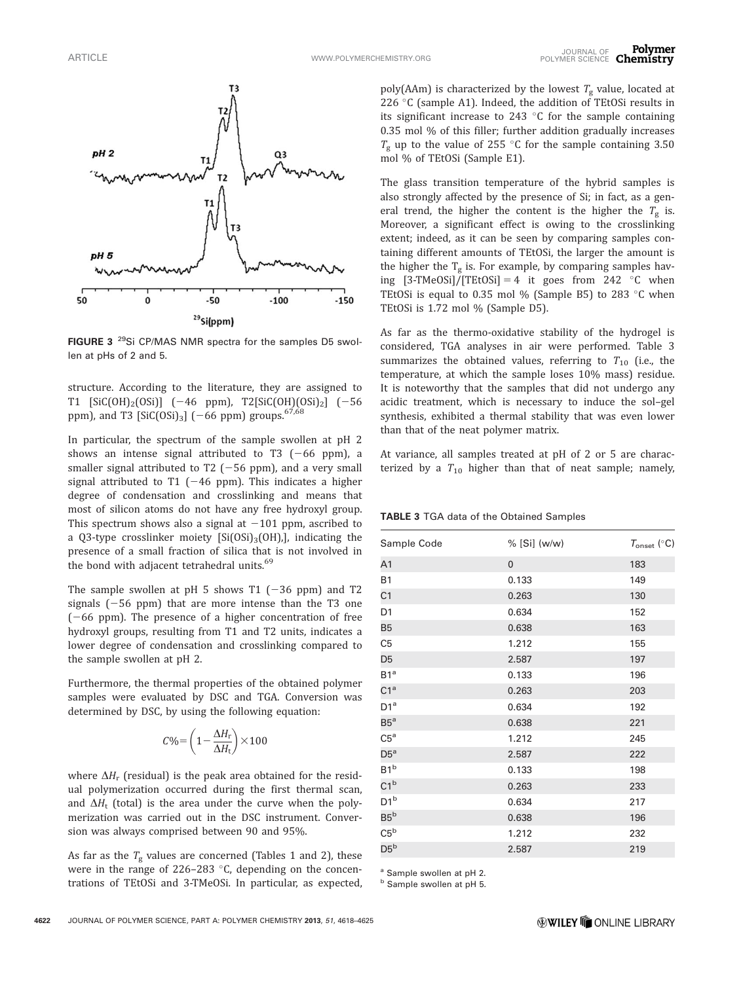

FIGURE 3<sup>29</sup>Si CP/MAS NMR spectra for the samples D5 swollen at pHs of 2 and 5.

structure. According to the literature, they are assigned to T1 [SiC(OH)<sub>2</sub>(OSi)]  $(-46$  ppm), T2[SiC(OH)(OSi)<sub>2</sub>]  $(-56$ ppm), and T3  $[SiC(OSi)_3]$  (-66 ppm) groups.<sup>67,68</sup>

In particular, the spectrum of the sample swollen at pH 2 shows an intense signal attributed to T3  $(-66$  ppm), a smaller signal attributed to T2  $(-56$  ppm), and a very small signal attributed to T1  $(-46$  ppm). This indicates a higher degree of condensation and crosslinking and means that most of silicon atoms do not have any free hydroxyl group. This spectrum shows also a signal at  $-101$  ppm, ascribed to a Q3-type crosslinker moiety  $[Si(OSi)_3(OH)]$ , indicating the presence of a small fraction of silica that is not involved in the bond with adjacent tetrahedral units.<sup>69</sup>

The sample swollen at pH 5 shows T1  $(-36$  ppm) and T2 signals  $(-56$  ppm) that are more intense than the T3 one  $(-66$  ppm). The presence of a higher concentration of free hydroxyl groups, resulting from T1 and T2 units, indicates a lower degree of condensation and crosslinking compared to the sample swollen at pH 2.

Furthermore, the thermal properties of the obtained polymer samples were evaluated by DSC and TGA. Conversion was determined by DSC, by using the following equation:

$$
C\% = \left(1 - \frac{\Delta H_{\rm r}}{\Delta H_{\rm t}}\right) \times 100
$$

where  $\Delta H_r$  (residual) is the peak area obtained for the residual polymerization occurred during the first thermal scan, and  $\Delta H_t$  (total) is the area under the curve when the polymerization was carried out in the DSC instrument. Conversion was always comprised between 90 and 95%.

As far as the  $T_g$  values are concerned (Tables 1 and 2), these were in the range of 226-283  $\degree$ C, depending on the concentrations of TEtOSi and 3-TMeOSi. In particular, as expected,

poly(AAm) is characterized by the lowest  $T_{\rm g}$  value, located at 226  $\degree$ C (sample A1). Indeed, the addition of TEtOSi results in its significant increase to 243  $\degree$ C for the sample containing 0.35 mol % of this filler; further addition gradually increases  $T_{\rm g}$  up to the value of 255 °C for the sample containing 3.50 mol % of TEtOSi (Sample E1).

The glass transition temperature of the hybrid samples is also strongly affected by the presence of Si; in fact, as a general trend, the higher the content is the higher the  $T_g$  is. Moreover, a significant effect is owing to the crosslinking extent; indeed, as it can be seen by comparing samples containing different amounts of TEtOSi, the larger the amount is the higher the  $T_g$  is. For example, by comparing samples having  $[3-TMeOSi]/[TEtOSi] = 4$  it goes from 242 °C when TEtOSi is equal to 0.35 mol % (Sample B5) to 283  $\degree$ C when TEtOSi is 1.72 mol % (Sample D5).

As far as the thermo-oxidative stability of the hydrogel is considered, TGA analyses in air were performed. Table 3 summarizes the obtained values, referring to  $T_{10}$  (i.e., the temperature, at which the sample loses 10% mass) residue. It is noteworthy that the samples that did not undergo any acidic treatment, which is necessary to induce the sol–gel synthesis, exhibited a thermal stability that was even lower than that of the neat polymer matrix.

At variance, all samples treated at pH of 2 or 5 are characterized by a  $T_{10}$  higher than that of neat sample; namely,

TABLE 3 TGA data of the Obtained Samples

| Sample Code     | % [Si] (w/w) | $T_{\text{onset}}$ (°C) |
|-----------------|--------------|-------------------------|
| A <sub>1</sub>  | $\mathbf 0$  | 183                     |
| <b>B1</b>       | 0.133        | 149                     |
| C <sub>1</sub>  | 0.263        | 130                     |
| D <sub>1</sub>  | 0.634        | 152                     |
| <b>B5</b>       | 0.638        | 163                     |
| C <sub>5</sub>  | 1.212        | 155                     |
| D <sub>5</sub>  | 2.587        | 197                     |
| B1 <sup>a</sup> | 0.133        | 196                     |
| C1 <sup>a</sup> | 0.263        | 203                     |
| D1 <sup>a</sup> | 0.634        | 192                     |
| $B5^a$          | 0.638        | 221                     |
| C5 <sup>a</sup> | 1.212        | 245                     |
| $D5^a$          | 2.587        | 222                     |
| B1 <sup>b</sup> | 0.133        | 198                     |
| C1 <sup>b</sup> | 0.263        | 233                     |
| D1 <sup>b</sup> | 0.634        | 217                     |
| $B5^b$          | 0.638        | 196                     |
| C5 <sup>b</sup> | 1.212        | 232                     |
| $D5^b$          | 2.587        | 219                     |
|                 |              |                         |

<sup>a</sup> Sample swollen at pH 2.

**b** Sample swollen at pH 5.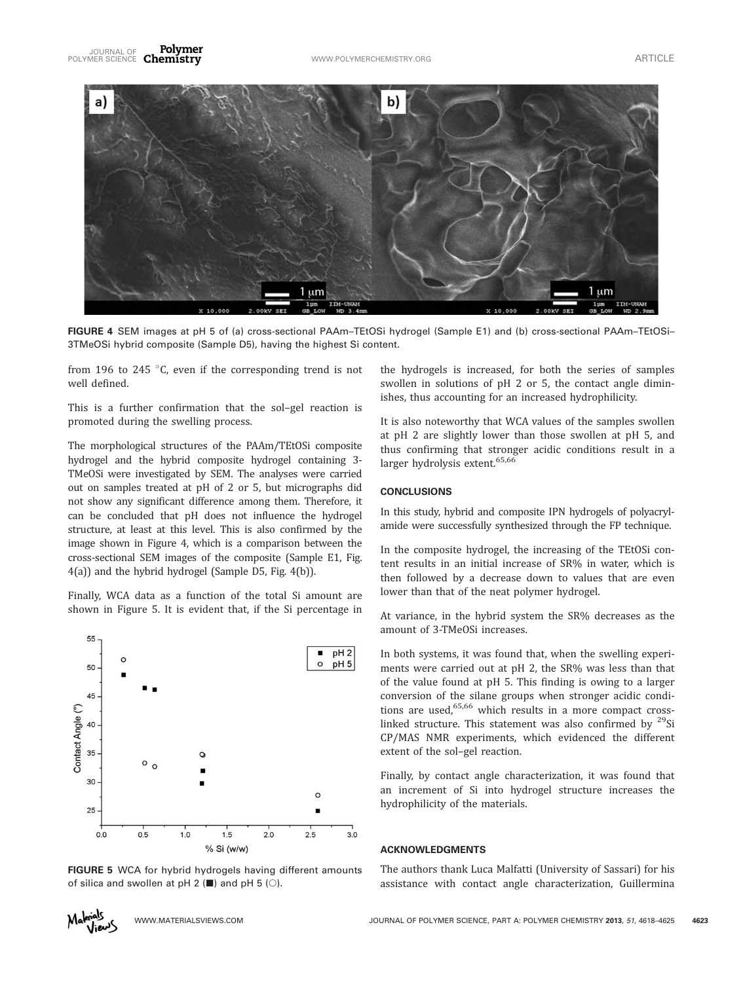

FIGURE 4 SEM images at pH 5 of (a) cross-sectional PAAm–TEtOSi hydrogel (Sample E1) and (b) cross-sectional PAAm–TEtOSi– 3TMeOSi hybrid composite (Sample D5), having the highest Si content.

from 196 to 245  $\degree$ C, even if the corresponding trend is not well defined.

This is a further confirmation that the sol–gel reaction is promoted during the swelling process.

The morphological structures of the PAAm/TEtOSi composite hydrogel and the hybrid composite hydrogel containing 3- TMeOSi were investigated by SEM. The analyses were carried out on samples treated at pH of 2 or 5, but micrographs did not show any significant difference among them. Therefore, it can be concluded that pH does not influence the hydrogel structure, at least at this level. This is also confirmed by the image shown in Figure 4, which is a comparison between the cross-sectional SEM images of the composite (Sample E1, Fig. 4(a)) and the hybrid hydrogel (Sample D5, Fig. 4(b)).

Finally, WCA data as a function of the total Si amount are shown in Figure 5. It is evident that, if the Si percentage in



FIGURE 5 WCA for hybrid hydrogels having different amounts of silica and swollen at pH 2 ( $\blacksquare$ ) and pH 5 ( $\bigcirc$ ).

the hydrogels is increased, for both the series of samples swollen in solutions of pH 2 or 5, the contact angle diminishes, thus accounting for an increased hydrophilicity.

It is also noteworthy that WCA values of the samples swollen at pH 2 are slightly lower than those swollen at pH 5, and thus confirming that stronger acidic conditions result in a larger hydrolysis extent.<sup>65,66</sup>

### **CONCLUSIONS**

In this study, hybrid and composite IPN hydrogels of polyacrylamide were successfully synthesized through the FP technique.

In the composite hydrogel, the increasing of the TEtOSi content results in an initial increase of SR% in water, which is then followed by a decrease down to values that are even lower than that of the neat polymer hydrogel.

At variance, in the hybrid system the SR% decreases as the amount of 3-TMeOSi increases.

In both systems, it was found that, when the swelling experiments were carried out at pH 2, the SR% was less than that of the value found at pH 5. This finding is owing to a larger conversion of the silane groups when stronger acidic conditions are used, $65,66$  which results in a more compact crosslinked structure. This statement was also confirmed by  $29$ Si CP/MAS NMR experiments, which evidenced the different extent of the sol–gel reaction.

Finally, by contact angle characterization, it was found that an increment of Si into hydrogel structure increases the hydrophilicity of the materials.

# ACKNOWLEDGMENTS

The authors thank Luca Malfatti (University of Sassari) for his assistance with contact angle characterization, Guillermina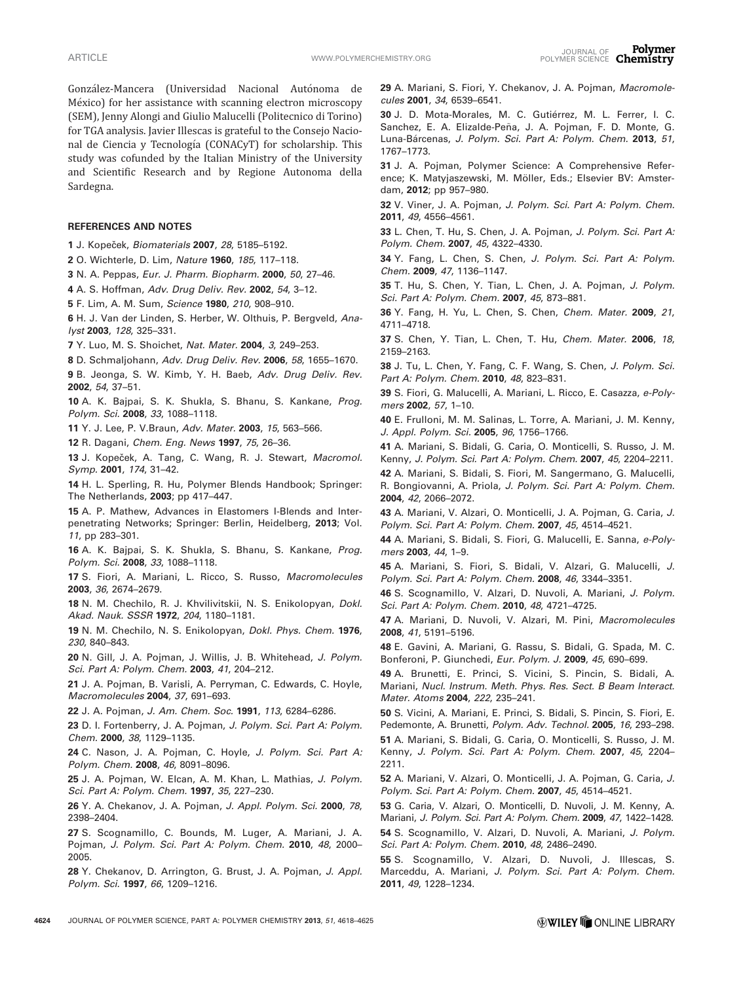González-Mancera (Universidad Nacional Autónoma de México) for her assistance with scanning electron microscopy (SEM), Jenny Alongi and Giulio Malucelli (Politecnico di Torino) for TGA analysis. Javier Illescas is grateful to the Consejo Nacional de Ciencia y Tecnología (CONACyT) for scholarship. This study was cofunded by the Italian Ministry of the University and Scientific Research and by Regione Autonoma della Sardegna.

### REFERENCES AND NOTES

1 J. Kopeček, Biomaterials 2007, 28, 5185-5192.

2 O. Wichterle, D. Lim, Nature 1960, 185, 117–118.

3 N. A. Peppas, Eur. J. Pharm. Biopharm. 2000, 50, 27–46.

4 A. S. Hoffman, Adv. Drug Deliv. Rev. 2002, 54, 3–12.

5 F. Lim, A. M. Sum, Science 1980, 210, 908–910.

6 H. J. Van der Linden, S. Herber, W. Olthuis, P. Bergveld, Analyst 2003, 128, 325–331.

7 Y. Luo, M. S. Shoichet, Nat. Mater. 2004, 3, 249–253.

8 D. Schmaljohann, Adv. Drug Deliv. Rev. 2006, 58, 1655–1670.

9 B. Jeonga, S. W. Kimb, Y. H. Baeb, Adv. Drug Deliv. Rev. 2002, 54, 37–51.

10 A. K. Bajpai, S. K. Shukla, S. Bhanu, S. Kankane, Prog. Polym. Sci. 2008, 33, 1088–1118.

11 Y. J. Lee, P. V.Braun, Adv. Mater. 2003, 15, 563–566.

12 R. Dagani, Chem. Eng. News 1997, 75, 26–36.

13 J. Kopeček, A. Tang, C. Wang, R. J. Stewart, Macromol. Symp. 2001, 174, 31–42.

14 H. L. Sperling, R. Hu, Polymer Blends Handbook; Springer: The Netherlands, 2003; pp 417–447.

15 A. P. Mathew, Advances in Elastomers I-Blends and Interpenetrating Networks; Springer: Berlin, Heidelberg, 2013; Vol. 11, pp 283–301.

16 A. K. Bajpai, S. K. Shukla, S. Bhanu, S. Kankane, Prog. Polym. Sci. 2008, 33, 1088–1118.

17 S. Fiori, A. Mariani, L. Ricco, S. Russo, Macromolecules 2003, 36, 2674–2679.

18 N. M. Chechilo, R. J. Khvilivitskii, N. S. Enikolopyan, Dokl. Akad. Nauk. SSSR 1972, 204, 1180–1181.

19 N. M. Chechilo, N. S. Enikolopyan, Dokl. Phys. Chem. 1976, 230, 840–843.

20 N. Gill, J. A. Pojman, J. Willis, J. B. Whitehead, J. Polym. Sci. Part A: Polym. Chem. 2003, 41, 204–212.

21 J. A. Pojman, B. Varisli, A. Perryman, C. Edwards, C. Hoyle, Macromolecules 2004, 37, 691–693.

22 J. A. Pojman, J. Am. Chem. Soc. 1991, 113, 6284–6286.

23 D. I. Fortenberry, J. A. Pojman, J. Polym. Sci. Part A: Polym. Chem. 2000, 38, 1129–1135.

24 C. Nason, J. A. Pojman, C. Hoyle, J. Polym. Sci. Part A: Polym. Chem. 2008, 46, 8091–8096.

25 J. A. Pojman, W. Elcan, A. M. Khan, L. Mathias, J. Polym. Sci. Part A: Polym. Chem. 1997, 35, 227–230.

26 Y. A. Chekanov, J. A. Pojman, J. Appl. Polym. Sci. 2000, 78, 2398–2404.

27 S. Scognamillo, C. Bounds, M. Luger, A. Mariani, J. A. Pojman, J. Polym. Sci. Part A: Polym. Chem. 2010, 48, 2000– 2005.

28 Y. Chekanov, D. Arrington, G. Brust, J. A. Pojman, J. Appl. Polym. Sci. 1997, 66, 1209–1216.

29 A. Mariani, S. Fiori, Y. Chekanov, J. A. Pojman, Macromolecules 2001, 34, 6539–6541.

30 J. D. Mota-Morales, M. C. Gutiérrez, M. L. Ferrer, I. C. Sanchez, E. A. Elizalde-Peña, J. A. Pojman, F. D. Monte, G. Luna-Bárcenas, J. Polym. Sci. Part A: Polym. Chem. 2013, 51, 1767–1773.

31 J. A. Pojman, Polymer Science: A Comprehensive Reference; K. Matyjaszewski, M. Möller, Eds.; Elsevier BV: Amsterdam, 2012; pp 957–980.

32 V. Viner, J. A. Pojman, J. Polym. Sci. Part A: Polym. Chem. 2011, 49, 4556–4561.

33 L. Chen, T. Hu, S. Chen, J. A. Pojman, J. Polym. Sci. Part A: Polym. Chem. 2007, 45, 4322–4330.

34 Y. Fang, L. Chen, S. Chen, J. Polym. Sci. Part A: Polym. Chem. 2009, 47, 1136–1147.

35 T. Hu, S. Chen, Y. Tian, L. Chen, J. A. Pojman, J. Polym. Sci. Part A: Polym. Chem. 2007, 45, 873–881.

36 Y. Fang, H. Yu, L. Chen, S. Chen, Chem. Mater. 2009, 21, 4711–4718.

37 S. Chen, Y. Tian, L. Chen, T. Hu, Chem. Mater. 2006, 18, 2159–2163.

38 J. Tu, L. Chen, Y. Fang, C. F. Wang, S. Chen, J. Polym. Sci. Part A: Polym. Chem. 2010, 48, 823-831.

39 S. Fiori, G. Malucelli, A. Mariani, L. Ricco, E. Casazza, e-Polymers 2002, 57, 1–10.

40 E. Frulloni, M. M. Salinas, L. Torre, A. Mariani, J. M. Kenny, J. Appl. Polym. Sci. 2005, 96, 1756–1766.

41 A. Mariani, S. Bidali, G. Caria, O. Monticelli, S. Russo, J. M. Kenny, J. Polym. Sci. Part A: Polym. Chem. 2007, 45, 2204–2211.

42 A. Mariani, S. Bidali, S. Fiori, M. Sangermano, G. Malucelli, R. Bongiovanni, A. Priola, J. Polym. Sci. Part A: Polym. Chem. 2004, 42, 2066–2072.

43 A. Mariani, V. Alzari, O. Monticelli, J. A. Pojman, G. Caria, J. Polym. Sci. Part A: Polym. Chem. 2007, 45, 4514–4521.

44 A. Mariani, S. Bidali, S. Fiori, G. Malucelli, E. Sanna, e-Polymers 2003, 44, 1–9.

45 A. Mariani, S. Fiori, S. Bidali, V. Alzari, G. Malucelli, J. Polym. Sci. Part A: Polym. Chem. 2008, 46, 3344–3351.

46 S. Scognamillo, V. Alzari, D. Nuvoli, A. Mariani, J. Polym. Sci. Part A: Polym. Chem. 2010, 48, 4721–4725.

47 A. Mariani, D. Nuvoli, V. Alzari, M. Pini, Macromolecules 2008, 41, 5191–5196.

48 E. Gavini, A. Mariani, G. Rassu, S. Bidali, G. Spada, M. C. Bonferoni, P. Giunchedi, Eur. Polym. J. 2009, 45, 690–699.

49 A. Brunetti, E. Princi, S. Vicini, S. Pincin, S. Bidali, A. Mariani, Nucl. Instrum. Meth. Phys. Res. Sect. B Beam Interact. Mater. Atoms 2004, 222, 235–241.

50 S. Vicini, A. Mariani, E. Princi, S. Bidali, S. Pincin, S. Fiori, E. Pedemonte, A. Brunetti, Polym. Adv. Technol. 2005, 16, 293–298.

51 A. Mariani, S. Bidali, G. Caria, O. Monticelli, S. Russo, J. M. Kenny, J. Polym. Sci. Part A: Polym. Chem. 2007, 45, 2204– 2211.

52 A. Mariani, V. Alzari, O. Monticelli, J. A. Pojman, G. Caria, J. Polym. Sci. Part A: Polym. Chem. 2007, 45, 4514–4521.

53 G. Caria, V. Alzari, O. Monticelli, D. Nuvoli, J. M. Kenny, A. Mariani, J. Polym. Sci. Part A: Polym. Chem. 2009, 47, 1422–1428.

54 S. Scognamillo, V. Alzari, D. Nuvoli, A. Mariani, J. Polym. Sci. Part A: Polym. Chem. 2010, 48, 2486–2490.

55 S. Scognamillo, V. Alzari, D. Nuvoli, J. Illescas, S. Marceddu, A. Mariani, J. Polym. Sci. Part A: Polym. Chem. 2011, 49, 1228–1234.